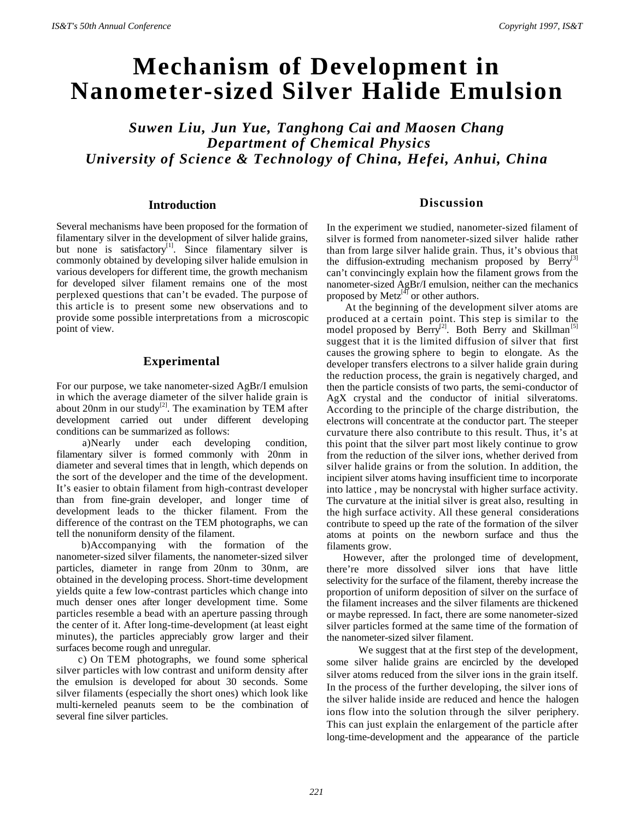# **Mechanism of Development in Nanometer-sized Silver Halide Emulsion**

*Suwen Liu, Jun Yue, Tanghong Cai and Maosen Chang Department of Chemical Physics University of Science & Technology of China, Hefei, Anhui, China*

### **Introduction**

Several mechanisms have been proposed for the formation of filamentary silver in the development of silver halide grains, but none is satisfactory<sup>[1]</sup>. Since filamentary silver is commonly obtained by developing silver halide emulsion in various developers for different time, the growth mechanism for developed silver filament remains one of the most perplexed questions that can't be evaded. The purpose of this article is to present some new observations and to provide some possible interpretations from a microscopic point of view.

## **Experimental**

For our purpose, we take nanometer-sized AgBr/I emulsion in which the average diameter of the silver halide grain is about 20nm in our study<sup>[2]</sup>. The examination by TEM after development carried out under different developing conditions can be summarized as follows:

 a)Nearly under each developing condition, filamentary silver is formed commonly with 20nm in diameter and several times that in length, which depends on the sort of the developer and the time of the development. It's easier to obtain filament from high-contrast developer than from fine-grain developer, and longer time of development leads to the thicker filament. From the difference of the contrast on the TEM photographs, we can tell the nonuniform density of the filament.

 b)Accompanying with the formation of the nanometer-sized silver filaments, the nanometer-sized silver particles, diameter in range from 20nm to 30nm, are obtained in the developing process. Short-time development yields quite a few low-contrast particles which change into much denser ones after longer development time. Some particles resemble a bead with an aperture passing through the center of it. After long-time-development (at least eight minutes), the particles appreciably grow larger and their surfaces become rough and unregular.

c) On TEM photographs, we found some spherical silver particles with low contrast and uniform density after the emulsion is developed for about 30 seconds. Some silver filaments (especially the short ones) which look like multi-kerneled peanuts seem to be the combination of several fine silver particles.

#### **Discussion**

In the experiment we studied, nanometer-sized filament of silver is formed from nanometer-sized silver halide rather than from large silver halide grain. Thus, it's obvious that the diffusion-extruding mechanism proposed by  $\text{Berry}^{[3]}$ can't convincingly explain how the filament grows from the nanometer-sized AgBr/I emulsion, neither can the mechanics proposed by  $Metz^{[4]}$  or other authors.

At the beginning of the development silver atoms are produced at a certain point. This step is similar to the model proposed by  $\text{Berry}^{[2]}$ . Both Berry and Skillman<sup>[5]</sup> suggest that it is the limited diffusion of silver that first causes the growing sphere to begin to elongate. As the developer transfers electrons to a silver halide grain during the reduction process, the grain is negatively charged, and then the particle consists of two parts, the semi-conductor of AgX crystal and the conductor of initial silveratoms. According to the principle of the charge distribution, the electrons will concentrate at the conductor part. The steeper curvature there also contribute to this result. Thus, it's at this point that the silver part most likely continue to grow from the reduction of the silver ions, whether derived from silver halide grains or from the solution. In addition, the incipient silver atoms having insufficient time to incorporate into lattice , may be noncrystal with higher surface activity. The curvature at the initial silver is great also, resulting in the high surface activity. All these general considerations contribute to speed up the rate of the formation of the silver atoms at points on the newborn surface and thus the filaments grow.

 However, after the prolonged time of development, there're more dissolved silver ions that have little selectivity for the surface of the filament, thereby increase the proportion of uniform deposition of silver on the surface of the filament increases and the silver filaments are thickened or maybe repressed. In fact, there are some nanometer-sized silver particles formed at the same time of the formation of the nanometer-sized silver filament.

 We suggest that at the first step of the development, some silver halide grains are encircled by the developed silver atoms reduced from the silver ions in the grain itself. In the process of the further developing, the silver ions of the silver halide inside are reduced and hence the halogen ions flow into the solution through the silver periphery. This can just explain the enlargement of the particle after long-time-development and the appearance of the particle